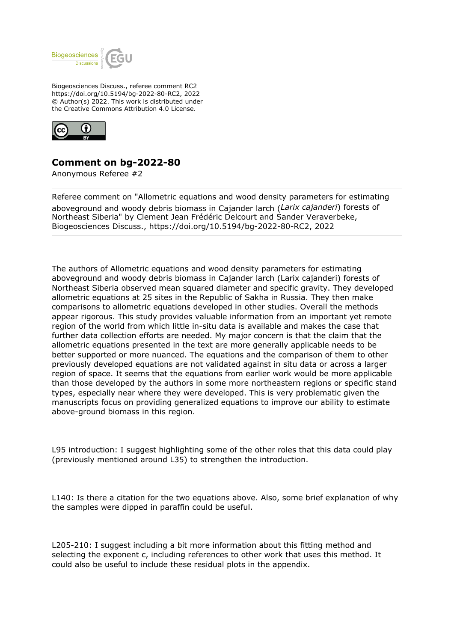

Biogeosciences Discuss., referee comment RC2 https://doi.org/10.5194/bg-2022-80-RC2, 2022 © Author(s) 2022. This work is distributed under the Creative Commons Attribution 4.0 License.



## **Comment on bg-2022-80**

Anonymous Referee #2

Referee comment on "Allometric equations and wood density parameters for estimating aboveground and woody debris biomass in Cajander larch (*Larix cajanderi*) forests of Northeast Siberia" by Clement Jean Frédéric Delcourt and Sander Veraverbeke, Biogeosciences Discuss., https://doi.org/10.5194/bg-2022-80-RC2, 2022

The authors of Allometric equations and wood density parameters for estimating aboveground and woody debris biomass in Cajander larch (Larix cajanderi) forests of Northeast Siberia observed mean squared diameter and specific gravity. They developed allometric equations at 25 sites in the Republic of Sakha in Russia. They then make comparisons to allometric equations developed in other studies. Overall the methods appear rigorous. This study provides valuable information from an important yet remote region of the world from which little in-situ data is available and makes the case that further data collection efforts are needed. My major concern is that the claim that the allometric equations presented in the text are more generally applicable needs to be better supported or more nuanced. The equations and the comparison of them to other previously developed equations are not validated against in situ data or across a larger region of space. It seems that the equations from earlier work would be more applicable than those developed by the authors in some more northeastern regions or specific stand types, especially near where they were developed. This is very problematic given the manuscripts focus on providing generalized equations to improve our ability to estimate above-ground biomass in this region.

L95 introduction: I suggest highlighting some of the other roles that this data could play (previously mentioned around L35) to strengthen the introduction.

L140: Is there a citation for the two equations above. Also, some brief explanation of why the samples were dipped in paraffin could be useful.

L205-210: I suggest including a bit more information about this fitting method and selecting the exponent c, including references to other work that uses this method. It could also be useful to include these residual plots in the appendix.